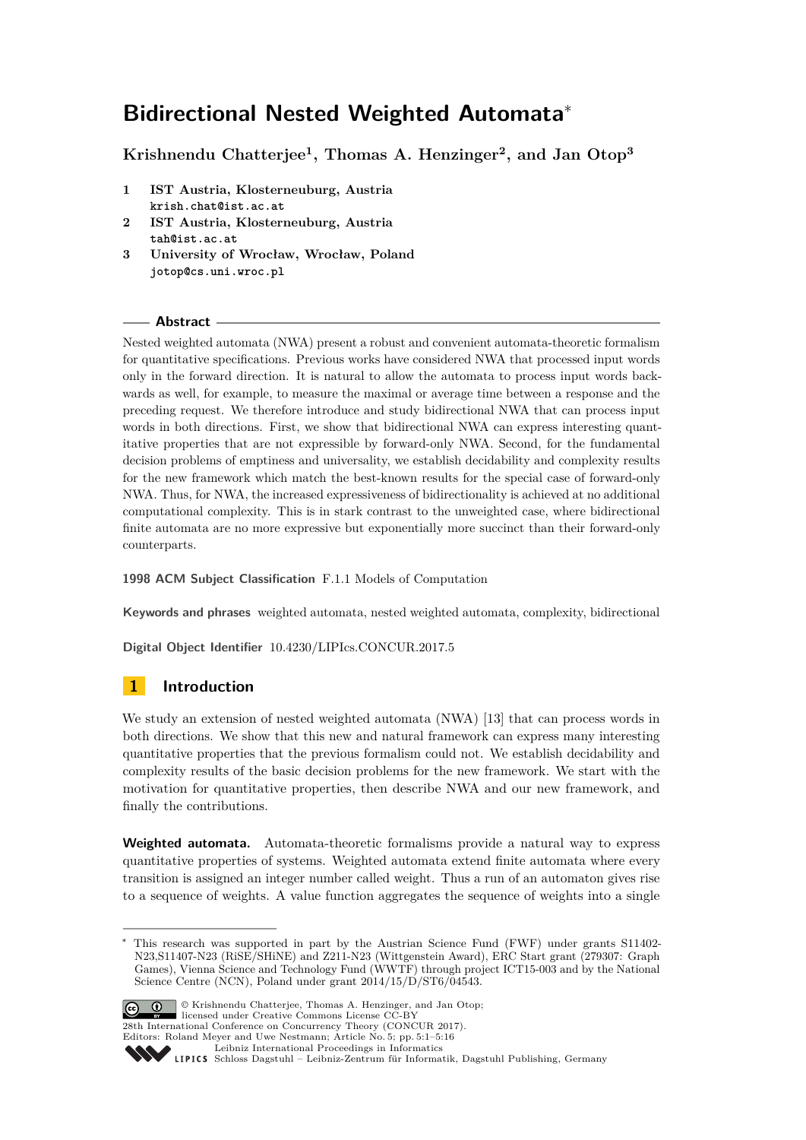# **Bidirectional Nested Weighted Automata**<sup>∗</sup>

**Krishnendu Chatterjee<sup>1</sup> , Thomas A. Henzinger<sup>2</sup> , and Jan Otop<sup>3</sup>**

- **1 IST Austria, Klosterneuburg, Austria krish.chat@ist.ac.at**
- **2 IST Austria, Klosterneuburg, Austria tah@ist.ac.at**
- **3 University of Wrocław, Wrocław, Poland jotop@cs.uni.wroc.pl**

## **Abstract**

Nested weighted automata (NWA) present a robust and convenient automata-theoretic formalism for quantitative specifications. Previous works have considered NWA that processed input words only in the forward direction. It is natural to allow the automata to process input words backwards as well, for example, to measure the maximal or average time between a response and the preceding request. We therefore introduce and study bidirectional NWA that can process input words in both directions. First, we show that bidirectional NWA can express interesting quantitative properties that are not expressible by forward-only NWA. Second, for the fundamental decision problems of emptiness and universality, we establish decidability and complexity results for the new framework which match the best-known results for the special case of forward-only NWA. Thus, for NWA, the increased expressiveness of bidirectionality is achieved at no additional computational complexity. This is in stark contrast to the unweighted case, where bidirectional finite automata are no more expressive but exponentially more succinct than their forward-only counterparts.

**1998 ACM Subject Classification** F.1.1 Models of Computation

**Keywords and phrases** weighted automata, nested weighted automata, complexity, bidirectional

**Digital Object Identifier** [10.4230/LIPIcs.CONCUR.2017.5](http://dx.doi.org/10.4230/LIPIcs.CONCUR.2017.5)

## **1 Introduction**

We study an extension of nested weighted automata (NWA) [\[13\]](#page-15-0) that can process words in both directions. We show that this new and natural framework can express many interesting quantitative properties that the previous formalism could not. We establish decidability and complexity results of the basic decision problems for the new framework. We start with the motivation for quantitative properties, then describe NWA and our new framework, and finally the contributions.

**Weighted automata.** Automata-theoretic formalisms provide a natural way to express quantitative properties of systems. Weighted automata extend finite automata where every transition is assigned an integer number called weight. Thus a run of an automaton gives rise to a sequence of weights. A value function aggregates the sequence of weights into a single

This research was supported in part by the Austrian Science Fund (FWF) under grants S11402-N23,S11407-N23 (RiSE/SHiNE) and Z211-N23 (Wittgenstein Award), ERC Start grant (279307: Graph Games), Vienna Science and Technology Fund (WWTF) through project ICT15-003 and by the National Science Centre (NCN), Poland under grant 2014/15/D/ST6/04543.



<sup>©</sup> Krishnendu Chatterjee, Thomas A. Henzinger, and Jan Otop; licensed under Creative Commons License CC-BY

28th International Conference on Concurrency Theory (CONCUR 2017). Editors: Roland Meyer and Uwe Nestmann; Article No. 5; pp. 5:1–5[:16](#page-15-1)

[Leibniz International Proceedings in Informatics](http://www.dagstuhl.de/lipics/)

Leibniz international Froceedings in missimosischer Magstuhl Publishing, Germany<br>LIPICS [Schloss Dagstuhl – Leibniz-Zentrum für Informatik, Dagstuhl Publishing, Germany](http://www.dagstuhl.de)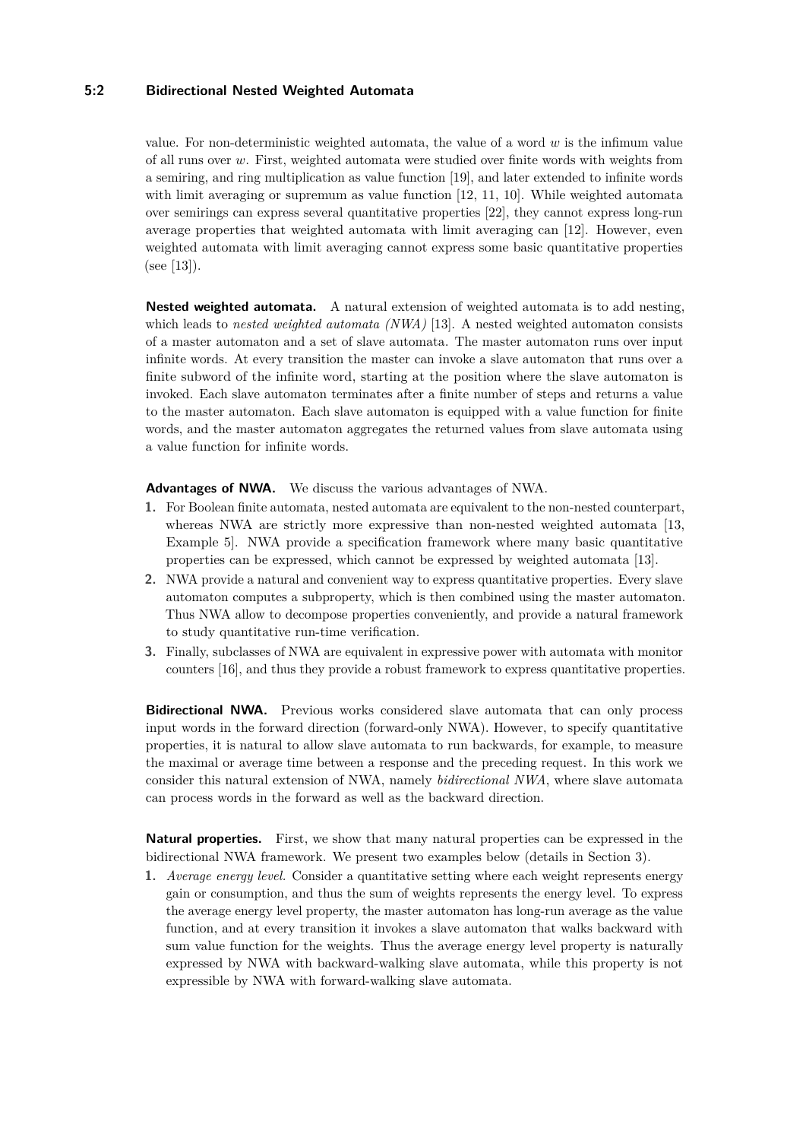## **5:2 Bidirectional Nested Weighted Automata**

value. For non-deterministic weighted automata, the value of a word *w* is the infimum value of all runs over *w*. First, weighted automata were studied over finite words with weights from a semiring, and ring multiplication as value function [\[19\]](#page-15-2), and later extended to infinite words with limit averaging or supremum as value function [\[12,](#page-15-3) [11,](#page-15-4) [10\]](#page-15-5). While weighted automata over semirings can express several quantitative properties [\[22\]](#page-15-6), they cannot express long-run average properties that weighted automata with limit averaging can [\[12\]](#page-15-3). However, even weighted automata with limit averaging cannot express some basic quantitative properties (see [\[13\]](#page-15-0)).

**Nested weighted automata.** A natural extension of weighted automata is to add nesting, which leads to *nested weighted automata (NWA)* [\[13\]](#page-15-0). A nested weighted automaton consists of a master automaton and a set of slave automata. The master automaton runs over input infinite words. At every transition the master can invoke a slave automaton that runs over a finite subword of the infinite word, starting at the position where the slave automaton is invoked. Each slave automaton terminates after a finite number of steps and returns a value to the master automaton. Each slave automaton is equipped with a value function for finite words, and the master automaton aggregates the returned values from slave automata using a value function for infinite words.

**Advantages of NWA.** We discuss the various advantages of NWA.

- **1.** For Boolean finite automata, nested automata are equivalent to the non-nested counterpart, whereas NWA are strictly more expressive than non-nested weighted automata [\[13,](#page-15-0) Example 5]. NWA provide a specification framework where many basic quantitative properties can be expressed, which cannot be expressed by weighted automata [\[13\]](#page-15-0).
- **2.** NWA provide a natural and convenient way to express quantitative properties. Every slave automaton computes a subproperty, which is then combined using the master automaton. Thus NWA allow to decompose properties conveniently, and provide a natural framework to study quantitative run-time verification.
- **3.** Finally, subclasses of NWA are equivalent in expressive power with automata with monitor counters [\[16\]](#page-15-7), and thus they provide a robust framework to express quantitative properties.

**Bidirectional NWA.** Previous works considered slave automata that can only process input words in the forward direction (forward-only NWA). However, to specify quantitative properties, it is natural to allow slave automata to run backwards, for example, to measure the maximal or average time between a response and the preceding request. In this work we consider this natural extension of NWA, namely *bidirectional NWA*, where slave automata can process words in the forward as well as the backward direction.

**Natural properties.** First, we show that many natural properties can be expressed in the bidirectional NWA framework. We present two examples below (details in Section [3\)](#page-6-0).

**1.** *Average energy level.* Consider a quantitative setting where each weight represents energy gain or consumption, and thus the sum of weights represents the energy level. To express the average energy level property, the master automaton has long-run average as the value function, and at every transition it invokes a slave automaton that walks backward with sum value function for the weights. Thus the average energy level property is naturally expressed by NWA with backward-walking slave automata, while this property is not expressible by NWA with forward-walking slave automata.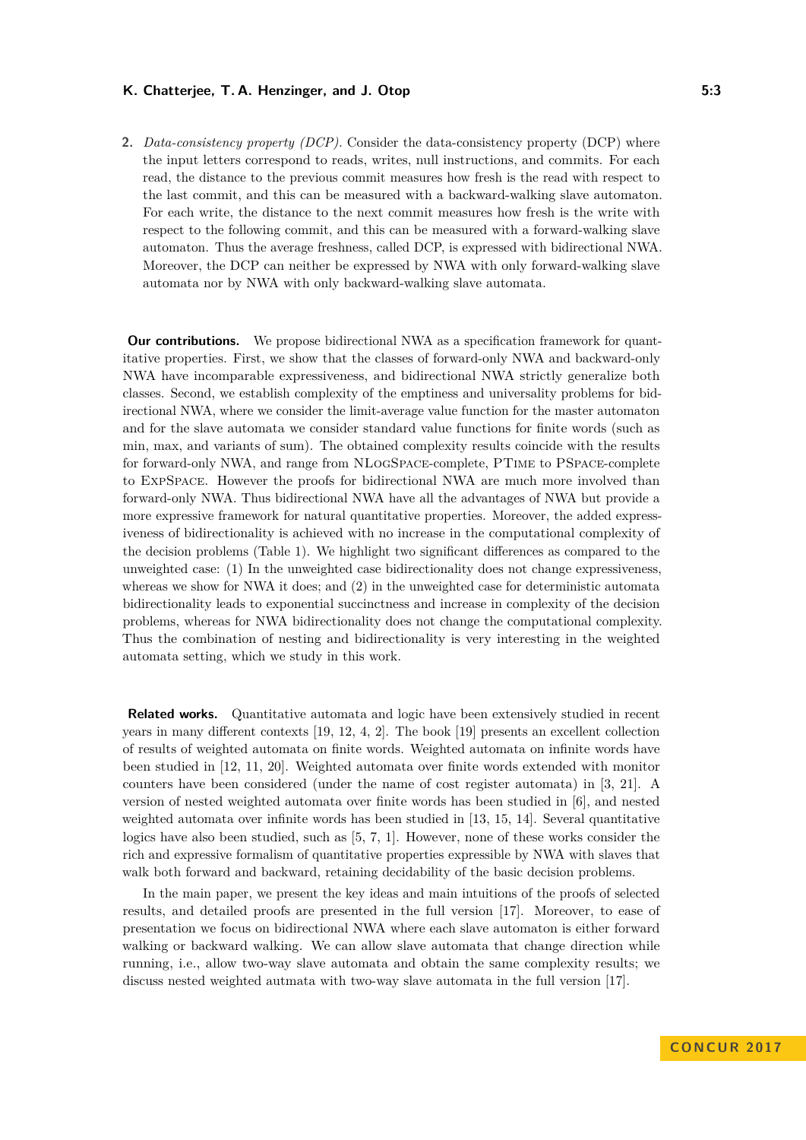**2.** *Data-consistency property (DCP).* Consider the data-consistency property (DCP) where the input letters correspond to reads, writes, null instructions, and commits. For each read, the distance to the previous commit measures how fresh is the read with respect to the last commit, and this can be measured with a backward-walking slave automaton. For each write, the distance to the next commit measures how fresh is the write with respect to the following commit, and this can be measured with a forward-walking slave automaton. Thus the average freshness, called DCP, is expressed with bidirectional NWA. Moreover, the DCP can neither be expressed by NWA with only forward-walking slave automata nor by NWA with only backward-walking slave automata.

**Our contributions.** We propose bidirectional NWA as a specification framework for quantitative properties. First, we show that the classes of forward-only NWA and backward-only NWA have incomparable expressiveness, and bidirectional NWA strictly generalize both classes. Second, we establish complexity of the emptiness and universality problems for bidirectional NWA, where we consider the limit-average value function for the master automaton and for the slave automata we consider standard value functions for finite words (such as min, max, and variants of sum). The obtained complexity results coincide with the results for forward-only NWA, and range from NLogSpace-complete, PTime to PSpace-complete to ExpSpace. However the proofs for bidirectional NWA are much more involved than forward-only NWA. Thus bidirectional NWA have all the advantages of NWA but provide a more expressive framework for natural quantitative properties. Moreover, the added expressiveness of bidirectionality is achieved with no increase in the computational complexity of the decision problems (Table [1\)](#page-14-0). We highlight two significant differences as compared to the unweighted case: (1) In the unweighted case bidirectionality does not change expressiveness, whereas we show for NWA it does; and (2) in the unweighted case for deterministic automata bidirectionality leads to exponential succinctness and increase in complexity of the decision problems, whereas for NWA bidirectionality does not change the computational complexity. Thus the combination of nesting and bidirectionality is very interesting in the weighted automata setting, which we study in this work.

**Related works.** Quantitative automata and logic have been extensively studied in recent years in many different contexts [\[19,](#page-15-2) [12,](#page-15-3) [4,](#page-15-8) [2\]](#page-15-9). The book [\[19\]](#page-15-2) presents an excellent collection of results of weighted automata on finite words. Weighted automata on infinite words have been studied in [\[12,](#page-15-3) [11,](#page-15-4) [20\]](#page-15-10). Weighted automata over finite words extended with monitor counters have been considered (under the name of cost register automata) in [\[3,](#page-15-11) [21\]](#page-15-12). A version of nested weighted automata over finite words has been studied in [\[6\]](#page-15-13), and nested weighted automata over infinite words has been studied in [\[13,](#page-15-0) [15,](#page-15-14) [14\]](#page-15-15). Several quantitative logics have also been studied, such as [\[5,](#page-15-16) [7,](#page-15-17) [1\]](#page-14-1). However, none of these works consider the rich and expressive formalism of quantitative properties expressible by NWA with slaves that walk both forward and backward, retaining decidability of the basic decision problems.

In the main paper, we present the key ideas and main intuitions of the proofs of selected results, and detailed proofs are presented in the full version [\[17\]](#page-15-18). Moreover, to ease of presentation we focus on bidirectional NWA where each slave automaton is either forward walking or backward walking. We can allow slave automata that change direction while running, i.e., allow two-way slave automata and obtain the same complexity results; we discuss nested weighted autmata with two-way slave automata in the full version [\[17\]](#page-15-18).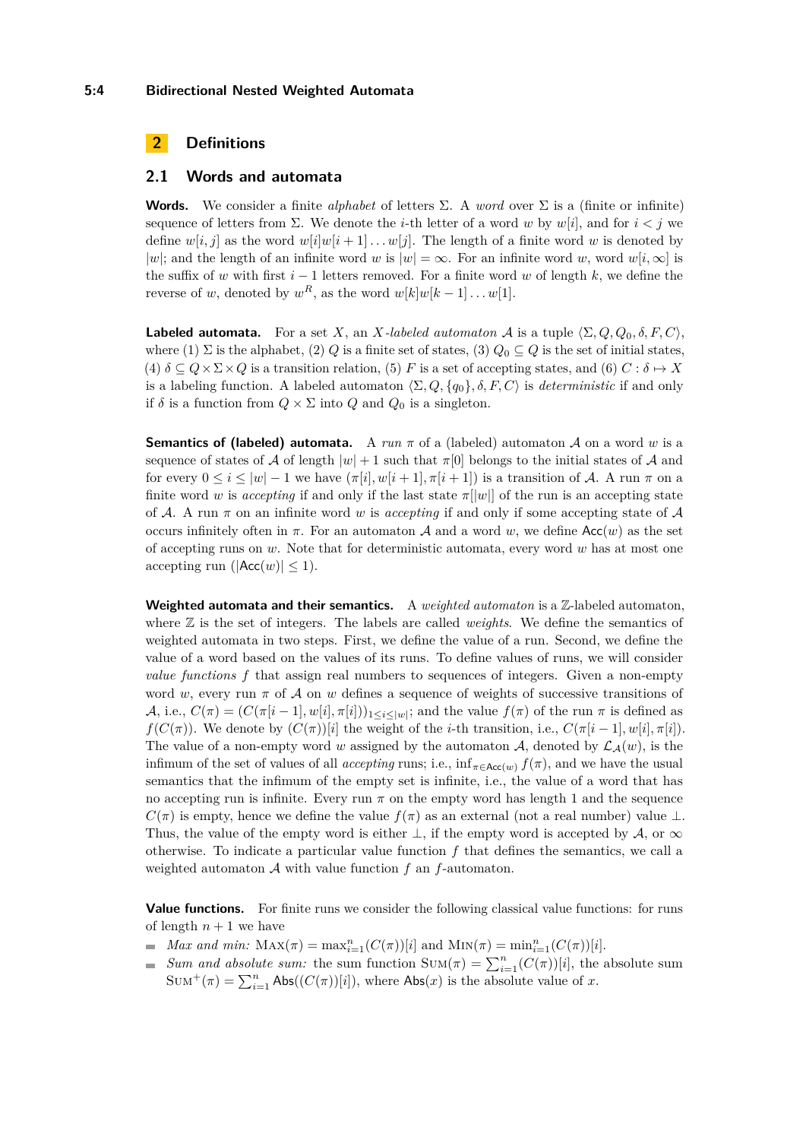#### **5:4 Bidirectional Nested Weighted Automata**

## **2 Definitions**

#### **2.1 Words and automata**

**Words.** We consider a finite *alphabet* of letters  $\Sigma$ . A *word* over  $\Sigma$  is a (finite or infinite) sequence of letters from  $\Sigma$ . We denote the *i*-th letter of a word *w* by *w*[*i*], and for  $i < j$  we define  $w[i, j]$  as the word  $w[i]w[i+1] \ldots w[j]$ . The length of a finite word *w* is denoted by |*w*|; and the length of an infinite word *w* is  $|w| = \infty$ . For an infinite word *w*, word *w*[*i*,  $\infty$ ] is the suffix of *w* with first *i* − 1 letters removed. For a finite word *w* of length *k*, we define the reverse of *w*, denoted by  $w^R$ , as the word  $w[k]w[k-1] \dots w[1]$ .

**Labeled automata.** For a set *X*, an *X-labeled automaton A* is a tuple  $\langle \Sigma, Q, Q_0, \delta, F, C \rangle$ , where (1)  $\Sigma$  is the alphabet, (2) *Q* is a finite set of states, (3)  $Q_0 \subseteq Q$  is the set of initial states,  $(4)$   $\delta \subseteq Q \times \Sigma \times Q$  is a transition relation, (5) *F* is a set of accepting states, and (6) *C* :  $\delta \mapsto X$ is a labeling function. A labeled automaton  $\langle \Sigma, Q, \{q_0\}, \delta, F, C \rangle$  is *deterministic* if and only if  $\delta$  is a function from  $Q \times \Sigma$  into  $Q$  and  $Q_0$  is a singleton.

**Semantics of (labeled) automata.** A  $run \pi$  of a (labeled) automaton A on a word w is a sequence of states of A of length  $|w| + 1$  such that  $\pi[0]$  belongs to the initial states of A and for every  $0 \leq i \leq |w| - 1$  we have  $(\pi[i], w[i+1], \pi[i+1])$  is a transition of A. A run  $\pi$  on a finite word *w* is *accepting* if and only if the last state  $\pi$ [|*w*|| of the run is an accepting state of A. A run  $\pi$  on an infinite word *w* is *accepting* if and only if some accepting state of A occurs infinitely often in  $\pi$ . For an automaton A and a word w, we define Acc(w) as the set of accepting runs on *w*. Note that for deterministic automata, every word *w* has at most one accepting run ( $|Acc(w)| < 1$ ).

Weighted automata and their semantics. A *weighted automaton* is a Z-labeled automaton, where Z is the set of integers. The labels are called *weights*. We define the semantics of weighted automata in two steps. First, we define the value of a run. Second, we define the value of a word based on the values of its runs. To define values of runs, we will consider *value functions f* that assign real numbers to sequences of integers. Given a non-empty word *w*, every run *π* of A on *w* defines a sequence of weights of successive transitions of A, i.e.,  $C(\pi) = (C(\pi[i-1], w[i], \pi[i]))_{1 \leq i \leq |w|}$ ; and the value  $f(\pi)$  of the run  $\pi$  is defined as *f*(*C*(*π*)). We denote by  $(C(\pi))[i]$  the weight of the *i*-th transition, i.e.,  $C(\pi[i-1], w[i], \pi[i])$ . The value of a non-empty word *w* assigned by the automaton A, denoted by  $\mathcal{L}_{\mathcal{A}}(w)$ , is the infimum of the set of values of all *accepting* runs; i.e.,  $\inf_{\pi \in Acc(w)} f(\pi)$ , and we have the usual semantics that the infimum of the empty set is infinite, i.e., the value of a word that has no accepting run is infinite. Every run  $\pi$  on the empty word has length 1 and the sequence  $C(\pi)$  is empty, hence we define the value  $f(\pi)$  as an external (not a real number) value  $\perp$ . Thus, the value of the empty word is either  $\perp$ , if the empty word is accepted by A, or  $\infty$ otherwise. To indicate a particular value function *f* that defines the semantics, we call a weighted automaton A with value function *f* an *f*-automaton.

**Value functions.** For finite runs we consider the following classical value functions: for runs of length  $n+1$  we have

- *Max and min:*  $\text{MAX}(\pi) = \max_{i=1}^{n} (C(\pi))[i]$  and  $\text{MIN}(\pi) = \min_{i=1}^{n} (C(\pi))[i]$ .
- *Sum and absolute sum:* the sum function  $Sum(\pi) = \sum_{i=1}^{n} (C(\pi))[i]$ , the absolute sum  $Sum^+(\pi) = \sum_{i=1}^n Abs((C(\pi))[i]),$  where  $Abs(x)$  is the absolute value of *x*.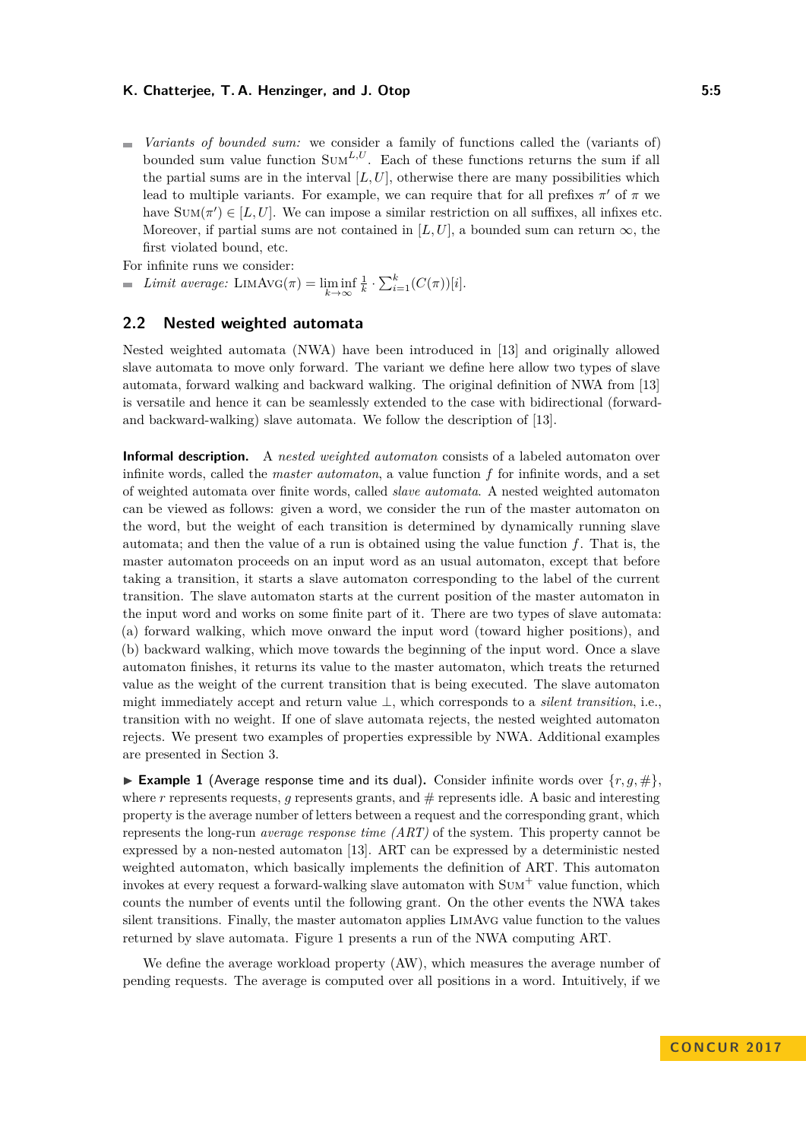*Variants of bounded sum:* we consider a family of functions called the (variants of)  $\blacksquare$ bounded sum value function  $\text{SUM}^{L,U}$ . Each of these functions returns the sum if all the partial sums are in the interval  $[L, U]$ , otherwise there are many possibilities which lead to multiple variants. For example, we can require that for all prefixes  $\pi'$  of  $\pi$  we have  $Sum(\pi') \in [L, U]$ . We can impose a similar restriction on all suffixes, all infixes etc. Moreover, if partial sums are not contained in  $[L, U]$ , a bounded sum can return  $\infty$ , the first violated bound, etc.

For infinite runs we consider:

*Limit average:* LIMAVG( $\pi$ ) = lim inf  $\frac{1}{k} \cdot \sum_{i=1}^{k} (C(\pi))[i].$ 

## **2.2 Nested weighted automata**

Nested weighted automata (NWA) have been introduced in [\[13\]](#page-15-0) and originally allowed slave automata to move only forward. The variant we define here allow two types of slave automata, forward walking and backward walking. The original definition of NWA from [\[13\]](#page-15-0) is versatile and hence it can be seamlessly extended to the case with bidirectional (forwardand backward-walking) slave automata. We follow the description of [\[13\]](#page-15-0).

**Informal description.** A *nested weighted automaton* consists of a labeled automaton over infinite words, called the *master automaton*, a value function *f* for infinite words, and a set of weighted automata over finite words, called *slave automata*. A nested weighted automaton can be viewed as follows: given a word, we consider the run of the master automaton on the word, but the weight of each transition is determined by dynamically running slave automata; and then the value of a run is obtained using the value function *f*. That is, the master automaton proceeds on an input word as an usual automaton, except that before taking a transition, it starts a slave automaton corresponding to the label of the current transition. The slave automaton starts at the current position of the master automaton in the input word and works on some finite part of it. There are two types of slave automata: (a) forward walking, which move onward the input word (toward higher positions), and (b) backward walking, which move towards the beginning of the input word. Once a slave automaton finishes, it returns its value to the master automaton, which treats the returned value as the weight of the current transition that is being executed. The slave automaton might immediately accept and return value ⊥, which corresponds to a *silent transition*, i.e., transition with no weight. If one of slave automata rejects, the nested weighted automaton rejects. We present two examples of properties expressible by NWA. Additional examples are presented in Section [3.](#page-6-0)

<span id="page-4-0"></span>**Example 1** (Average response time and its dual). Consider infinite words over  $\{r, q, \# \}$ , where  $r$  represents requests,  $q$  represents grants, and  $#$  represents idle. A basic and interesting property is the average number of letters between a request and the corresponding grant, which represents the long-run *average response time (ART)* of the system. This property cannot be expressed by a non-nested automaton [\[13\]](#page-15-0). ART can be expressed by a deterministic nested weighted automaton, which basically implements the definition of ART. This automaton invokes at every request a forward-walking slave automaton with  $\text{SUM}^+$  value function, which counts the number of events until the following grant. On the other events the NWA takes silent transitions. Finally, the master automaton applies LimAvg value function to the values returned by slave automata. Figure [1](#page-5-0) presents a run of the NWA computing ART.

We define the average workload property (AW), which measures the average number of pending requests. The average is computed over all positions in a word. Intuitively, if we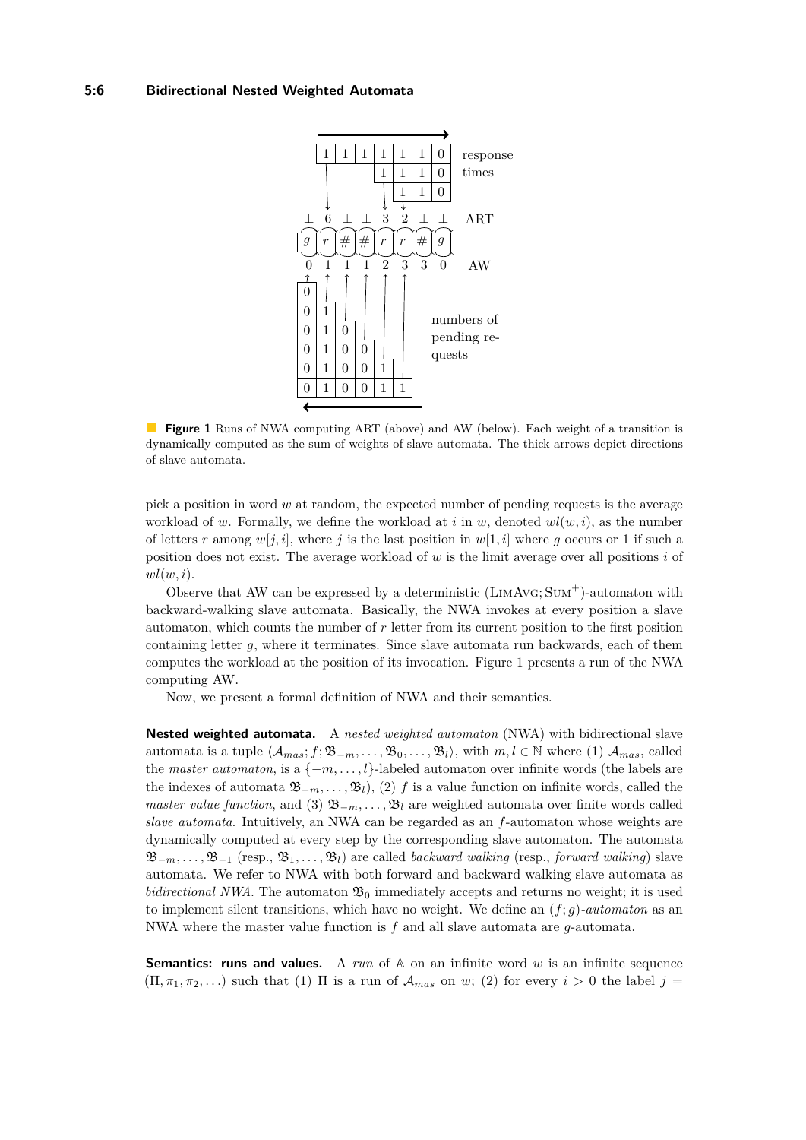<span id="page-5-0"></span>

**Figure 1** Runs of NWA computing ART (above) and AW (below). Each weight of a transition is dynamically computed as the sum of weights of slave automata. The thick arrows depict directions of slave automata.

pick a position in word *w* at random, the expected number of pending requests is the average workload of *w*. Formally, we define the workload at *i* in *w*, denoted  $wl(w, i)$ , as the number of letters *r* among  $w[j, i]$ , where *j* is the last position in  $w[1, i]$  where *g* occurs or 1 if such a position does not exist. The average workload of *w* is the limit average over all positions *i* of *wl*(*w, i*).

Observe that AW can be expressed by a deterministic  $(LIMAVG; SUM^+)$ -automaton with backward-walking slave automata. Basically, the NWA invokes at every position a slave automaton, which counts the number of *r* letter from its current position to the first position containing letter *g*, where it terminates. Since slave automata run backwards, each of them computes the workload at the position of its invocation. Figure [1](#page-5-0) presents a run of the NWA computing AW.

Now, we present a formal definition of NWA and their semantics.

**Nested weighted automata.** A *nested weighted automaton* (NWA) with bidirectional slave automata is a tuple  $\langle A_{mas}; f; \mathfrak{B}_{-m}, \ldots, \mathfrak{B}_0, \ldots, \mathfrak{B}_l \rangle$ , with  $m, l \in \mathbb{N}$  where (1)  $A_{mas}$ , called the *master automaton*, is a {−*m, . . . , l*}-labeled automaton over infinite words (the labels are the indexes of automata  $\mathfrak{B}_{-m}$ , ...,  $\mathfrak{B}_{l}$ ), (2) *f* is a value function on infinite words, called the *master value function*, and (3)  $\mathfrak{B}_{-m}, \ldots, \mathfrak{B}_{l}$  are weighted automata over finite words called *slave automata*. Intuitively, an NWA can be regarded as an *f*-automaton whose weights are dynamically computed at every step by the corresponding slave automaton. The automata B<sup>−</sup>*m, . . . ,* B<sup>−</sup><sup>1</sup> (resp., B1*, . . . ,* B*l*) are called *backward walking* (resp., *forward walking*) slave automata. We refer to NWA with both forward and backward walking slave automata as *bidirectional NWA*. The automaton  $\mathfrak{B}_0$  immediately accepts and returns no weight; it is used to implement silent transitions, which have no weight. We define an (*f*; *g*)*-automaton* as an NWA where the master value function is *f* and all slave automata are *g*-automata.

**Semantics: runs and values.** A run of A on an infinite word w is an infinite sequence  $(\Pi, \pi_1, \pi_2, \dots)$  such that (1)  $\Pi$  is a run of  $\mathcal{A}_{mas}$  on *w*; (2) for every  $i > 0$  the label  $j =$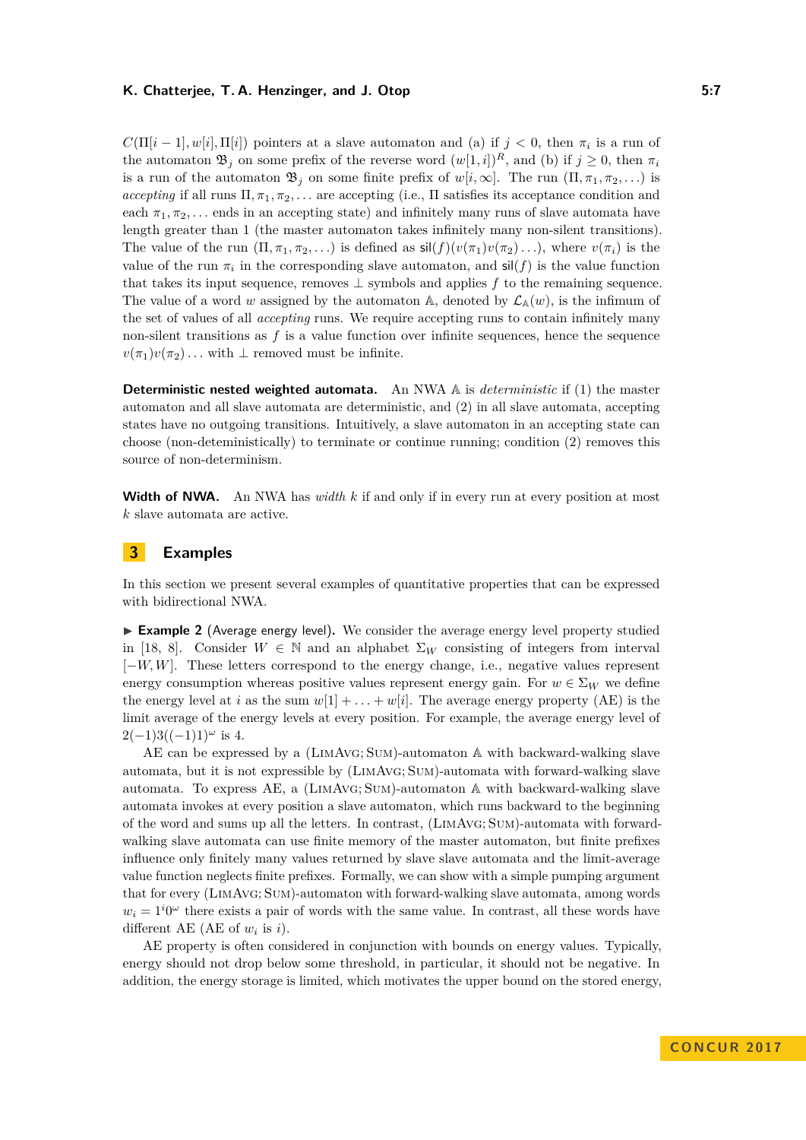$C(\Pi[i-1], w[i], \Pi[i])$  pointers at a slave automaton and (a) if  $j < 0$ , then  $\pi_i$  is a run of the automaton  $\mathfrak{B}_j$  on some prefix of the reverse word  $(w[1, i])^R$ , and (b) if  $j \geq 0$ , then  $\pi_i$ is a run of the automaton  $\mathfrak{B}_i$  on some finite prefix of  $w[i,\infty]$ . The run  $(\Pi, \pi_1, \pi_2, \ldots)$  is *accepting* if all runs  $\Pi, \pi_1, \pi_2, \ldots$  are accepting (i.e.,  $\Pi$  satisfies its acceptance condition and each  $\pi_1, \pi_2, \ldots$  ends in an accepting state) and infinitely many runs of slave automata have length greater than 1 (the master automaton takes infinitely many non-silent transitions). The value of the run  $(\Pi, \pi_1, \pi_2, \ldots)$  is defined as  $\text{sil}(f)(v(\pi_1)v(\pi_2)\ldots)$ , where  $v(\pi_i)$  is the value of the run  $\pi_i$  in the corresponding slave automaton, and  $\mathsf{sil}(f)$  is the value function that takes its input sequence, removes ⊥ symbols and applies *f* to the remaining sequence. The value of a word *w* assigned by the automaton A, denoted by  $\mathcal{L}_{A}(w)$ , is the infimum of the set of values of all *accepting* runs. We require accepting runs to contain infinitely many non-silent transitions as  $f$  is a value function over infinite sequences, hence the sequence  $v(\pi_1)v(\pi_2) \ldots$  with  $\perp$  removed must be infinite.

**Deterministic nested weighted automata.** An NWA A is *deterministic* if (1) the master automaton and all slave automata are deterministic, and (2) in all slave automata, accepting states have no outgoing transitions. Intuitively, a slave automaton in an accepting state can choose (non-deteministically) to terminate or continue running; condition (2) removes this source of non-determinism.

**Width of NWA.** An NWA has *width k* if and only if in every run at every position at most *k* slave automata are active.

## <span id="page-6-0"></span>**3 Examples**

In this section we present several examples of quantitative properties that can be expressed with bidirectional NWA.

<span id="page-6-1"></span>► **Example 2** (Average energy level). We consider the average energy level property studied in [\[18,](#page-15-19) [8\]](#page-15-20). Consider  $W \in \mathbb{N}$  and an alphabet  $\Sigma_W$  consisting of integers from interval [−*W, W*]. These letters correspond to the energy change, i.e., negative values represent energy consumption whereas positive values represent energy gain. For  $w \in \Sigma_W$  we define the energy level at *i* as the sum  $w[1] + \ldots + w[i]$ . The average energy property (AE) is the limit average of the energy levels at every position. For example, the average energy level of  $2(-1)3((-1)1)^{\omega}$  is 4.

AE can be expressed by a (LimAvg; Sum)-automaton A with backward-walking slave automata, but it is not expressible by (LimAvg; Sum)-automata with forward-walking slave automata. To express AE, a (LimAvg; Sum)-automaton A with backward-walking slave automata invokes at every position a slave automaton, which runs backward to the beginning of the word and sums up all the letters. In contrast, (LimAvg; Sum)-automata with forwardwalking slave automata can use finite memory of the master automaton, but finite prefixes influence only finitely many values returned by slave slave automata and the limit-average value function neglects finite prefixes. Formally, we can show with a simple pumping argument that for every (LimAvg; Sum)-automaton with forward-walking slave automata, among words  $w_i = 1^i 0^\omega$  there exists a pair of words with the same value. In contrast, all these words have different AE (AE of  $w_i$  is  $i$ ).

AE property is often considered in conjunction with bounds on energy values. Typically, energy should not drop below some threshold, in particular, it should not be negative. In addition, the energy storage is limited, which motivates the upper bound on the stored energy,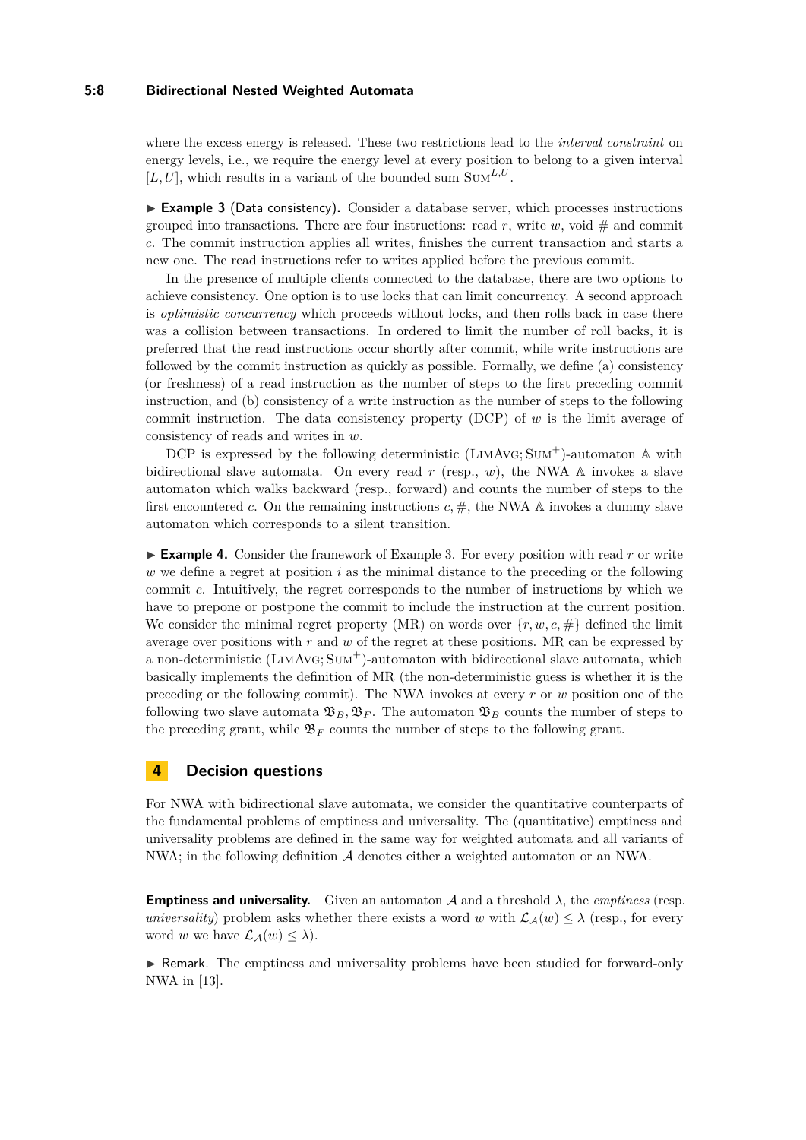#### **5:8 Bidirectional Nested Weighted Automata**

where the excess energy is released. These two restrictions lead to the *interval constraint* on energy levels, i.e., we require the energy level at every position to belong to a given interval  $[L, U]$ , which results in a variant of the bounded sum SUM<sup>L,U</sup>.

<span id="page-7-0"></span>► Example 3 (Data consistency). Consider a database server, which processes instructions grouped into transactions. There are four instructions: read  $r$ , write  $w$ , void  $\#$  and commit *c*. The commit instruction applies all writes, finishes the current transaction and starts a new one. The read instructions refer to writes applied before the previous commit.

In the presence of multiple clients connected to the database, there are two options to achieve consistency. One option is to use locks that can limit concurrency. A second approach is *optimistic concurrency* which proceeds without locks, and then rolls back in case there was a collision between transactions. In ordered to limit the number of roll backs, it is preferred that the read instructions occur shortly after commit, while write instructions are followed by the commit instruction as quickly as possible. Formally, we define (a) consistency (or freshness) of a read instruction as the number of steps to the first preceding commit instruction, and (b) consistency of a write instruction as the number of steps to the following commit instruction. The data consistency property (DCP) of *w* is the limit average of consistency of reads and writes in *w*.

DCP is expressed by the following deterministic  $(LIMAVG; SUM^+)$ -automaton A with bidirectional slave automata. On every read *r* (resp., *w*), the NWA A invokes a slave automaton which walks backward (resp., forward) and counts the number of steps to the first encountered *c*. On the remaining instructions  $c, \#$ , the NWA A invokes a dummy slave automaton which corresponds to a silent transition.

<span id="page-7-1"></span>**Example 4.** Consider the framework of Example [3.](#page-7-0) For every position with read  $r$  or write *w* we define a regret at position *i* as the minimal distance to the preceding or the following commit *c*. Intuitively, the regret corresponds to the number of instructions by which we have to prepone or postpone the commit to include the instruction at the current position. We consider the minimal regret property (MR) on words over  $\{r, w, c, \# \}$  defined the limit average over positions with *r* and *w* of the regret at these positions. MR can be expressed by a non-deterministic (LimAvg; Sum<sup>+</sup>)-automaton with bidirectional slave automata, which basically implements the definition of MR (the non-deterministic guess is whether it is the preceding or the following commit). The NWA invokes at every *r* or *w* position one of the following two slave automata  $\mathfrak{B}_B$ ,  $\mathfrak{B}_F$ . The automaton  $\mathfrak{B}_B$  counts the number of steps to the preceding grant, while  $\mathfrak{B}_F$  counts the number of steps to the following grant.

## **4 Decision questions**

For NWA with bidirectional slave automata, we consider the quantitative counterparts of the fundamental problems of emptiness and universality. The (quantitative) emptiness and universality problems are defined in the same way for weighted automata and all variants of NWA; in the following definition A denotes either a weighted automaton or an NWA.

**Emptiness and universality.** Given an automaton  $A$  and a threshold  $\lambda$ , the *emptiness* (resp. *universality*) problem asks whether there exists a word *w* with  $\mathcal{L}_{\mathcal{A}}(w) \leq \lambda$  (resp., for every word *w* we have  $\mathcal{L}_{\mathcal{A}}(w) \leq \lambda$ .

I Remark. The emptiness and universality problems have been studied for forward-only NWA in [\[13\]](#page-15-0).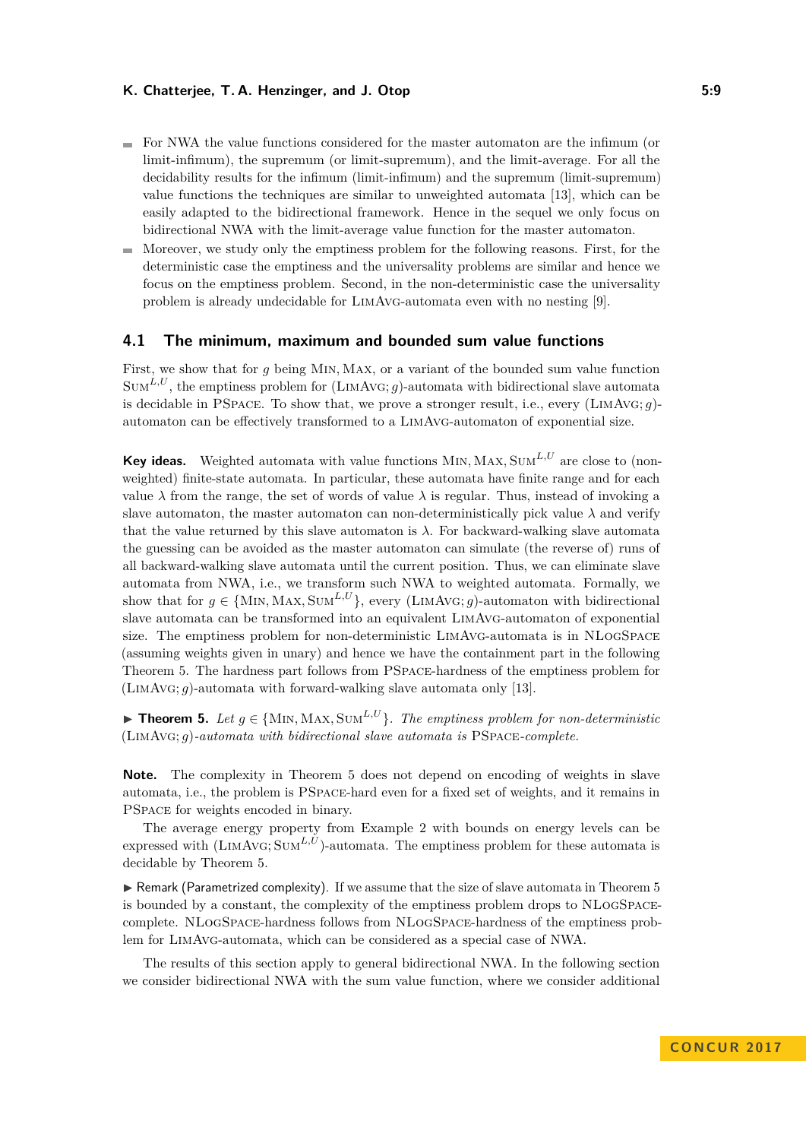- For NWA the value functions considered for the master automaton are the infimum (or limit-infimum), the supremum (or limit-supremum), and the limit-average. For all the decidability results for the infimum (limit-infimum) and the supremum (limit-supremum) value functions the techniques are similar to unweighted automata [\[13\]](#page-15-0), which can be easily adapted to the bidirectional framework. Hence in the sequel we only focus on bidirectional NWA with the limit-average value function for the master automaton.
- $\blacksquare$  Moreover, we study only the emptiness problem for the following reasons. First, for the deterministic case the emptiness and the universality problems are similar and hence we focus on the emptiness problem. Second, in the non-deterministic case the universality problem is already undecidable for LimAvg-automata even with no nesting [\[9\]](#page-15-21).

#### **4.1 The minimum, maximum and bounded sum value functions**

First, we show that for *g* being Min*,* Max, or a variant of the bounded sum value function  $Sum^{L,U}$ , the emptiness problem for  $(LIMAVG; g)$ -automata with bidirectional slave automata is decidable in PSpace. To show that, we prove a stronger result, i.e., every (LimAvg; *g*) automaton can be effectively transformed to a LimAvg-automaton of exponential size.

**Key ideas.** Weighted automata with value functions Min*,* Max*,* Sum*L,U* are close to (nonweighted) finite-state automata. In particular, these automata have finite range and for each value  $\lambda$  from the range, the set of words of value  $\lambda$  is regular. Thus, instead of invoking a slave automaton, the master automaton can non-deterministically pick value  $\lambda$  and verify that the value returned by this slave automaton is  $\lambda$ . For backward-walking slave automata the guessing can be avoided as the master automaton can simulate (the reverse of) runs of all backward-walking slave automata until the current position. Thus, we can eliminate slave automata from NWA, i.e., we transform such NWA to weighted automata. Formally, we show that for  $q \in \{MIN, MAX, SUM^{L,U}\}\$ , every (LIMAVG; *q*)-automaton with bidirectional slave automata can be transformed into an equivalent LimAvg-automaton of exponential size. The emptiness problem for non-deterministic LimAvg-automata is in NLogSpace (assuming weights given in unary) and hence we have the containment part in the following Theorem [5.](#page-8-0) The hardness part follows from PSpace-hardness of the emptiness problem for (LimAvg; *g*)-automata with forward-walking slave automata only [\[13\]](#page-15-0).

<span id="page-8-0"></span>**► Theorem 5.** Let  $g \in \{MIN, MAX, SUM^{L,U}\}$ . The emptiness problem for non-deterministic (LimAvg; *g*)*-automata with bidirectional slave automata is* PSpace*-complete.*

**Note.** The complexity in Theorem [5](#page-8-0) does not depend on encoding of weights in slave automata, i.e., the problem is PSpace-hard even for a fixed set of weights, and it remains in PSpace for weights encoded in binary.

The average energy property from Example [2](#page-6-1) with bounds on energy levels can be expressed with  $(LIMAVG; SUM^{L,U})$ -automata. The emptiness problem for these automata is decidable by Theorem [5.](#page-8-0)

 $\triangleright$  Remark (Parametrized complexity). If we assume that the size of slave automata in Theorem [5](#page-8-0) is bounded by a constant, the complexity of the emptiness problem drops to NLogSpacecomplete. NLogSpace-hardness follows from NLogSpace-hardness of the emptiness problem for LimAvg-automata, which can be considered as a special case of NWA.

The results of this section apply to general bidirectional NWA. In the following section we consider bidirectional NWA with the sum value function, where we consider additional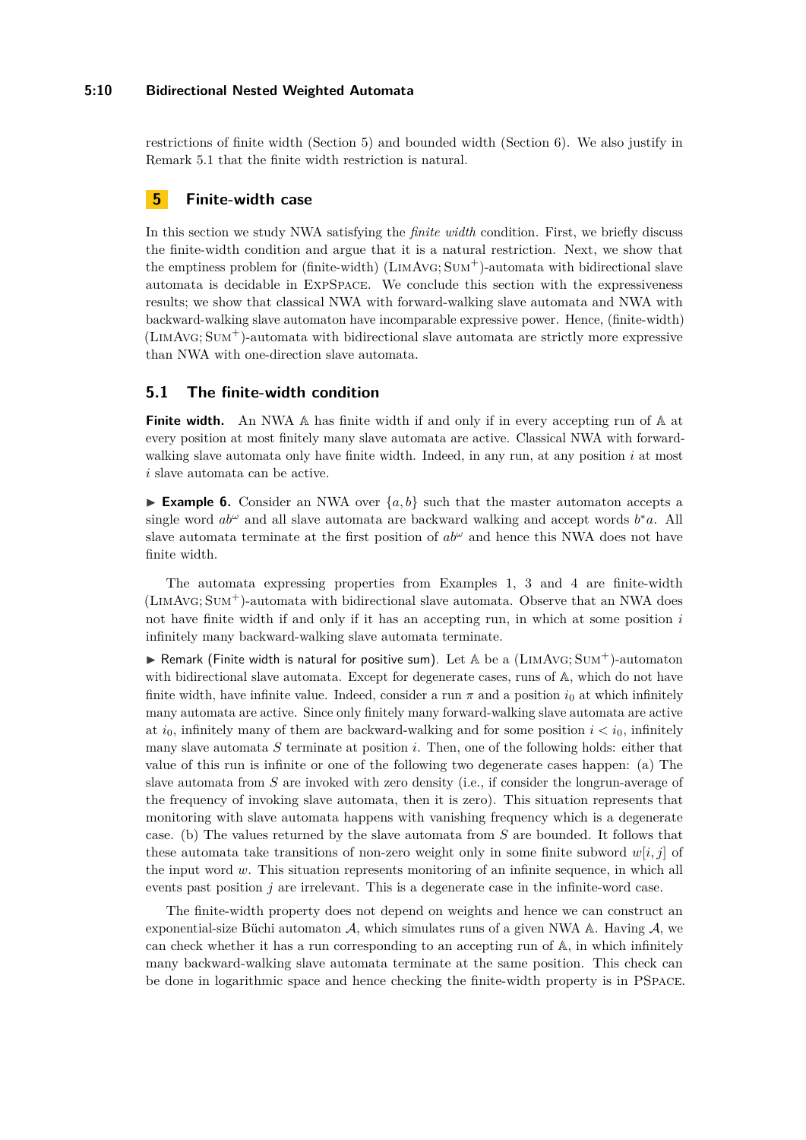#### **5:10 Bidirectional Nested Weighted Automata**

restrictions of finite width (Section [5\)](#page-9-0) and bounded width (Section [6\)](#page-11-0). We also justify in Remark [5.1](#page-9-1) that the finite width restriction is natural.

## <span id="page-9-0"></span>**5 Finite-width case**

In this section we study NWA satisfying the *finite width* condition. First, we briefly discuss the finite-width condition and argue that it is a natural restriction. Next, we show that the emptiness problem for (finite-width)  $(LIMAVG; SUM^+)$ -automata with bidirectional slave automata is decidable in ExpSpace. We conclude this section with the expressiveness results; we show that classical NWA with forward-walking slave automata and NWA with backward-walking slave automaton have incomparable expressive power. Hence, (finite-width)  $(LIMAVG; SUM<sup>+</sup>)$ -automata with bidirectional slave automata are strictly more expressive than NWA with one-direction slave automata.

## **5.1 The finite-width condition**

**Finite width.** An NWA A has finite width if and only if in every accepting run of A at every position at most finitely many slave automata are active. Classical NWA with forwardwalking slave automata only have finite width. Indeed, in any run, at any position *i* at most *i* slave automata can be active.

<span id="page-9-1"></span>**Example 6.** Consider an NWA over  $\{a, b\}$  such that the master automaton accepts a single word  $ab^{\omega}$  and all slave automata are backward walking and accept words  $b^*a$ . All slave automata terminate at the first position of  $ab^{\omega}$  and hence this NWA does not have finite width.

The automata expressing properties from Examples [1,](#page-4-0) [3](#page-7-0) and [4](#page-7-1) are finite-width  $(LIMAVG; SUM<sup>+</sup>)$ -automata with bidirectional slave automata. Observe that an NWA does not have finite width if and only if it has an accepting run, in which at some position *i* infinitely many backward-walking slave automata terminate.

**In Remark (Finite width is natural for positive sum).** Let  $A$  be a (LIMAVG; SUM<sup>+</sup>)-automaton with bidirectional slave automata. Except for degenerate cases, runs of A, which do not have finite width, have infinite value. Indeed, consider a run  $\pi$  and a position  $i_0$  at which infinitely many automata are active. Since only finitely many forward-walking slave automata are active at  $i_0$ , infinitely many of them are backward-walking and for some position  $i < i_0$ , infinitely many slave automata *S* terminate at position *i*. Then, one of the following holds: either that value of this run is infinite or one of the following two degenerate cases happen: (a) The slave automata from *S* are invoked with zero density (i.e., if consider the longrun-average of the frequency of invoking slave automata, then it is zero). This situation represents that monitoring with slave automata happens with vanishing frequency which is a degenerate case. (b) The values returned by the slave automata from *S* are bounded. It follows that these automata take transitions of non-zero weight only in some finite subword  $w[i, j]$  of the input word *w*. This situation represents monitoring of an infinite sequence, in which all events past position *j* are irrelevant. This is a degenerate case in the infinite-word case.

The finite-width property does not depend on weights and hence we can construct an exponential-size Büchi automaton  $A$ , which simulates runs of a given NWA A. Having  $A$ , we can check whether it has a run corresponding to an accepting run of A, in which infinitely many backward-walking slave automata terminate at the same position. This check can be done in logarithmic space and hence checking the finite-width property is in PSpace.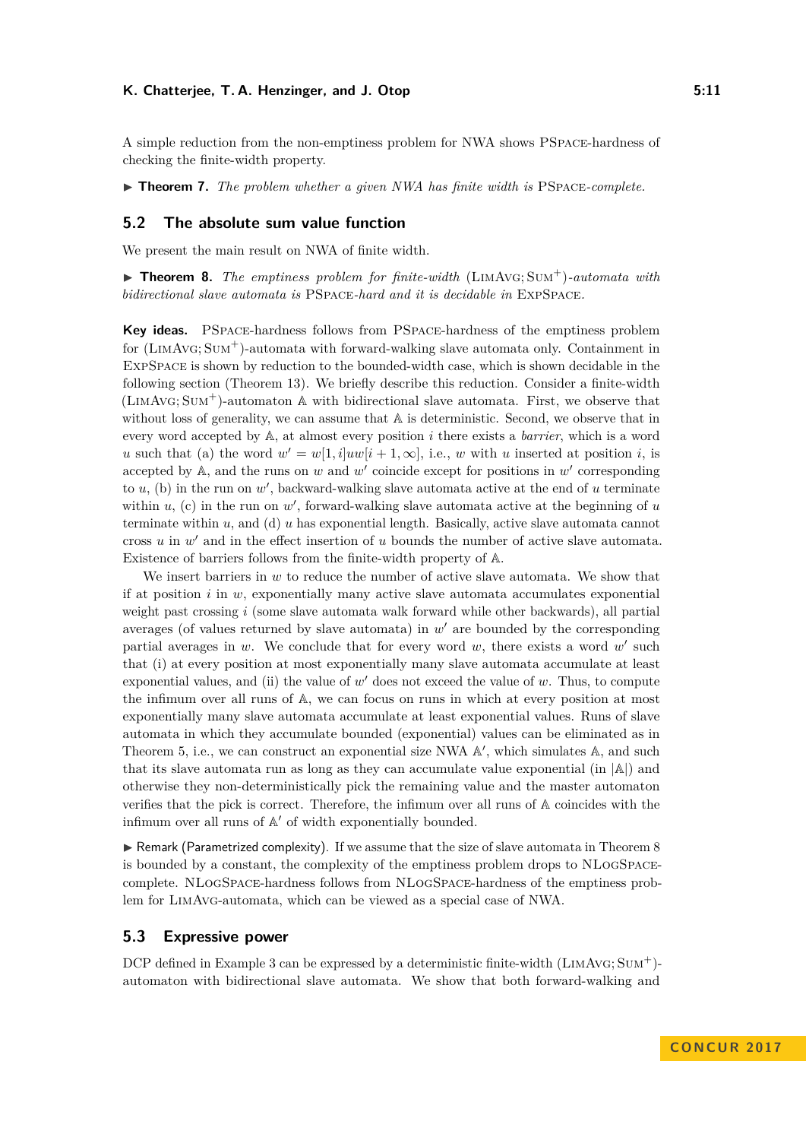A simple reduction from the non-emptiness problem for NWA shows PSpace-hardness of checking the finite-width property.

 $\triangleright$  **Theorem 7.** *The problem whether a given NWA has finite width is* PSPACE-complete.

#### **5.2 The absolute sum value function**

We present the main result on NWA of finite width.

<span id="page-10-0"></span> $\triangleright$  **Theorem 8.** *The emptiness problem for finite-width* (LIMAVG: SUM<sup>+</sup>)-automata with *bidirectional slave automata is* PSpace*-hard and it is decidable in* ExpSpace*.*

**Key ideas.** PSpace-hardness follows from PSpace-hardness of the emptiness problem for  $(LIMAVG; SUM<sup>+</sup>)$ -automata with forward-walking slave automata only. Containment in ExpSpace is shown by reduction to the bounded-width case, which is shown decidable in the following section (Theorem [13\)](#page-14-2). We briefly describe this reduction. Consider a finite-width (LimAvg; Sum<sup>+</sup>)-automaton A with bidirectional slave automata. First, we observe that without loss of generality, we can assume that  $A$  is deterministic. Second, we observe that in every word accepted by A, at almost every position *i* there exists a *barrier*, which is a word *u* such that (a) the word  $w' = w[1, i]uw[i + 1, \infty]$ , i.e., *w* with *u* inserted at position *i*, is accepted by  $A$ , and the runs on  $w$  and  $w'$  coincide except for positions in  $w'$  corresponding to  $u$ , (b) in the run on  $w'$ , backward-walking slave automata active at the end of  $u$  terminate within  $u$ , (c) in the run on  $w'$ , forward-walking slave automata active at the beginning of  $u$ terminate within *u*, and (d) *u* has exponential length. Basically, active slave automata cannot cross  $u$  in  $w'$  and in the effect insertion of  $u$  bounds the number of active slave automata. Existence of barriers follows from the finite-width property of A.

We insert barriers in *w* to reduce the number of active slave automata. We show that if at position *i* in *w*, exponentially many active slave automata accumulates exponential weight past crossing *i* (some slave automata walk forward while other backwards), all partial averages (of values returned by slave automata) in  $w'$  are bounded by the corresponding partial averages in  $w$ . We conclude that for every word  $w$ , there exists a word  $w'$  such that (i) at every position at most exponentially many slave automata accumulate at least exponential values, and (ii) the value of  $w'$  does not exceed the value of  $w$ . Thus, to compute the infimum over all runs of A, we can focus on runs in which at every position at most exponentially many slave automata accumulate at least exponential values. Runs of slave automata in which they accumulate bounded (exponential) values can be eliminated as in Theorem [5,](#page-8-0) i.e., we can construct an exponential size NWA  $\mathbb{A}'$ , which simulates  $\mathbb{A}$ , and such that its slave automata run as long as they can accumulate value exponential (in  $|\mathbb{A}|$ ) and otherwise they non-deterministically pick the remaining value and the master automaton verifies that the pick is correct. Therefore, the infimum over all runs of A coincides with the infimum over all runs of  $A'$  of width exponentially bounded.

 $\triangleright$  Remark (Parametrized complexity). If we assume that the size of slave automata in Theorem [8](#page-10-0) is bounded by a constant, the complexity of the emptiness problem drops to NLogSpacecomplete. NLogSpace-hardness follows from NLogSpace-hardness of the emptiness problem for LimAvg-automata, which can be viewed as a special case of NWA.

#### **5.3 Expressive power**

DCP defined in Example [3](#page-7-0) can be expressed by a deterministic finite-width  $(LIMAVG; SUM<sup>+</sup>)$ automaton with bidirectional slave automata. We show that both forward-walking and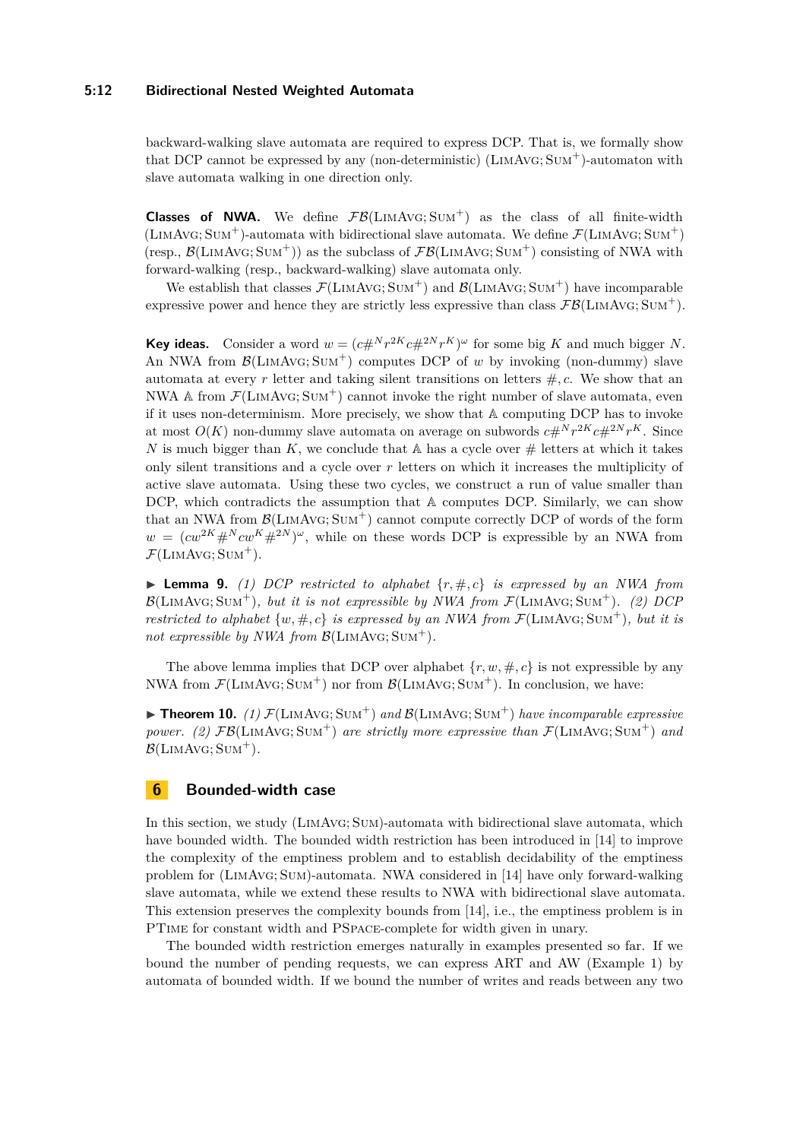#### **5:12 Bidirectional Nested Weighted Automata**

backward-walking slave automata are required to express DCP. That is, we formally show that DCP cannot be expressed by any (non-deterministic) (LimAvg; Sum<sup>+</sup>)-automaton with slave automata walking in one direction only.

**Classes of NWA.** We define  $\mathcal{FB}(LIMAVG; SUM^+)$  as the class of all finite-width (LIMAVG; SUM<sup>+</sup>)-automata with bidirectional slave automata. We define  $\mathcal{F}$ (LIMAVG; SUM<sup>+</sup>) (resp.,  $\mathcal{B}(\text{LIMAVG}; \text{SUM}^+)$ ) as the subclass of  $\mathcal{FB}(\text{LIMAVG}; \text{SUM}^+)$  consisting of NWA with forward-walking (resp., backward-walking) slave automata only.

We establish that classes  $\mathcal{F}(LIMAVG; SUM^+)$  and  $\mathcal{B}(LIMAVG; SUM^+)$  have incomparable expressive power and hence they are strictly less expressive than class  $\mathcal{FB}(\text{LIMAVG}; \text{SUM}^+).$ 

**Key ideas.** Consider a word  $w = (c \#^N r^{2K} c \#^{2N} r^K)^{\omega}$  for some big *K* and much bigger *N*. An NWA from  $\mathcal{B}(LIMAVG; Sum^+)$  computes DCP of *w* by invoking (non-dummy) slave automata at every r letter and taking silent transitions on letters  $\#$ , c. We show that an NWA A from  $\mathcal{F}(LIMAVG; Sum^+)$  cannot invoke the right number of slave automata, even if it uses non-determinism. More precisely, we show that A computing DCP has to invoke at most  $O(K)$  non-dummy slave automata on average on subwords  $c#^N r^{2K} c#^{2N} r^K$ . Since *N* is much bigger than *K*, we conclude that  $\mathbb A$  has a cycle over  $\#$  letters at which it takes only silent transitions and a cycle over *r* letters on which it increases the multiplicity of active slave automata. Using these two cycles, we construct a run of value smaller than DCP, which contradicts the assumption that A computes DCP. Similarly, we can show that an NWA from  $\mathcal{B}(LIMAVG; Sum^+)$  cannot compute correctly DCP of words of the form  $w = (cw^{2K} \#^N cw^{K} \#^{2N})^{\omega}$ , while on these words DCP is expressible by an NWA from  $\mathcal{F}(\text{LIMAVG}; \text{SUM}^+).$ 

**Lemma 9.** (1) DCP restricted to alphabet  $\{r, \#, c\}$  is expressed by an NWA from  $\mathcal{B}(\text{LimAvg}; \text{Sun}^+), \text{ but it is not expressible by NWA from } \mathcal{F}(\text{LimAvg}; \text{Sun}^+).$  (2) DCP *restricted to alphabet*  $\{w, \#, c\}$  *is expressed by an NWA from*  $\mathcal{F}(\text{LIMAVG}; \text{SUM}^+)$ *, but it is* not expressible by NWA from  $\mathcal{B}(\text{LIMAVG}; \text{SUM}^+).$ 

The above lemma implies that DCP over alphabet  $\{r, w, \#, c\}$  is not expressible by any NWA from  $\mathcal{F}(LIMAVG; Sum^+)$  nor from  $\mathcal{B}(LIMAVG; Sum^+)$ . In conclusion, we have:

 $\triangleright$  **Theorem 10.** *(1)*  $\mathcal{F}(\text{LIMAVG}; \text{SUM}^+)$  *and*  $\mathcal{B}(\text{LIMAVG}; \text{SUM}^+)$  *have incomparable expressive power.* (2)  $\mathcal{FB}(\text{LIMAVG}; \text{SUM}^+)$  *are strictly more expressive than*  $\mathcal{F}(\text{LIMAVG}; \text{SUM}^+)$  *and*  $\mathcal{B}$ (LIMAVG; SUM<sup>+</sup>).

## <span id="page-11-0"></span>**6 Bounded-width case**

In this section, we study (LIMAVG; SUM)-automata with bidirectional slave automata, which have bounded width. The bounded width restriction has been introduced in [\[14\]](#page-15-15) to improve the complexity of the emptiness problem and to establish decidability of the emptiness problem for (LimAvg; Sum)-automata. NWA considered in [\[14\]](#page-15-15) have only forward-walking slave automata, while we extend these results to NWA with bidirectional slave automata. This extension preserves the complexity bounds from [\[14\]](#page-15-15), i.e., the emptiness problem is in PTime for constant width and PSpace-complete for width given in unary.

The bounded width restriction emerges naturally in examples presented so far. If we bound the number of pending requests, we can express ART and AW (Example [1\)](#page-4-0) by automata of bounded width. If we bound the number of writes and reads between any two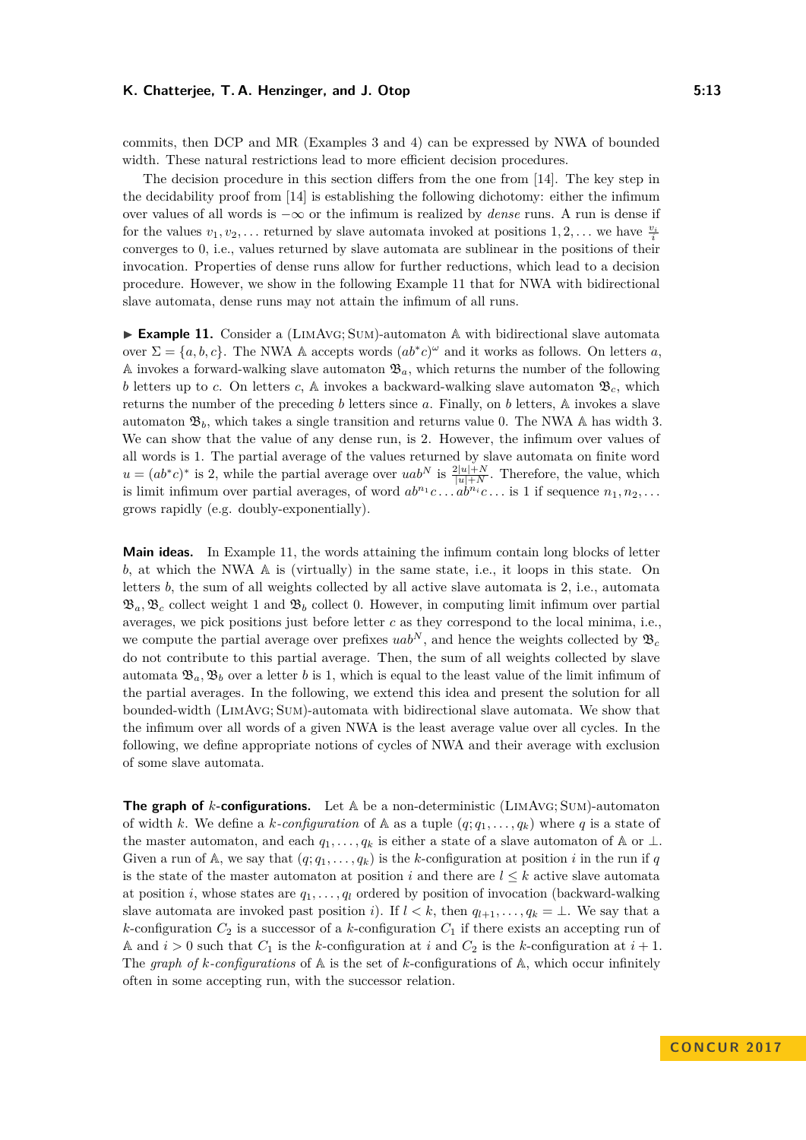commits, then DCP and MR (Examples [3](#page-7-0) and [4\)](#page-7-1) can be expressed by NWA of bounded width. These natural restrictions lead to more efficient decision procedures.

The decision procedure in this section differs from the one from [\[14\]](#page-15-15). The key step in the decidability proof from [\[14\]](#page-15-15) is establishing the following dichotomy: either the infimum over values of all words is −∞ or the infimum is realized by *dense* runs. A run is dense if for the values  $v_1, v_2, \ldots$  returned by slave automata invoked at positions  $1, 2, \ldots$  we have  $\frac{v_i}{i}$ converges to 0, i.e., values returned by slave automata are sublinear in the positions of their invocation. Properties of dense runs allow for further reductions, which lead to a decision procedure. However, we show in the following Example [11](#page-12-0) that for NWA with bidirectional slave automata, dense runs may not attain the infimum of all runs.

<span id="page-12-0"></span>► **Example 11.** Consider a (LIMAVG; SUM)-automaton A with bidirectional slave automata over  $\Sigma = \{a, b, c\}$ . The NWA A accepts words  $(ab^*c)^\omega$  and it works as follows. On letters *a*, A invokes a forward-walking slave automaton  $\mathfrak{B}_a$ , which returns the number of the following *b* letters up to *c*. On letters *c*, A invokes a backward-walking slave automaton  $\mathfrak{B}_c$ , which returns the number of the preceding *b* letters since *a*. Finally, on *b* letters, A invokes a slave automaton  $\mathfrak{B}_b$ , which takes a single transition and returns value 0. The NWA A has width 3. We can show that the value of any dense run, is 2. However, the infimum over values of all words is 1. The partial average of the values returned by slave automata on finite word  $u = (ab^*c)^*$  is 2, while the partial average over  $uab^N$  is  $\frac{2|u|+N}{|u|+N}$ . Therefore, the value, which is limit infimum over partial averages, of word  $ab^{n_1}c \ldots ab^{n_i}c \ldots$  is 1 if sequence  $n_1, n_2, \ldots$ grows rapidly (e.g. doubly-exponentially).

**Main ideas.** In Example [11,](#page-12-0) the words attaining the infimum contain long blocks of letter *b*, at which the NWA A is (virtually) in the same state, i.e., it loops in this state. On letters *b*, the sum of all weights collected by all active slave automata is 2, i.e., automata  $\mathfrak{B}_a, \mathfrak{B}_c$  collect weight 1 and  $\mathfrak{B}_b$  collect 0. However, in computing limit infimum over partial averages, we pick positions just before letter *c* as they correspond to the local minima, i.e., we compute the partial average over prefixes  $uab^N$ , and hence the weights collected by  $\mathfrak{B}_c$ do not contribute to this partial average. Then, the sum of all weights collected by slave automata  $\mathfrak{B}_a, \mathfrak{B}_b$  over a letter *b* is 1, which is equal to the least value of the limit infimum of the partial averages. In the following, we extend this idea and present the solution for all bounded-width (LimAvg; Sum)-automata with bidirectional slave automata. We show that the infimum over all words of a given NWA is the least average value over all cycles. In the following, we define appropriate notions of cycles of NWA and their average with exclusion of some slave automata.

**The graph of** *k***-configurations.** Let A be a non-deterministic (LimAvg; Sum)-automaton of width *k*. We define a *k*-configuration of  $\mathbb{A}$  as a tuple  $(q; q_1, \ldots, q_k)$  where *q* is a state of the master automaton, and each  $q_1, \ldots, q_k$  is either a state of a slave automaton of A or  $\perp$ . Given a run of A, we say that  $(q; q_1, \ldots, q_k)$  is the *k*-configuration at position *i* in the run if *q* is the state of the master automaton at position *i* and there are  $l \leq k$  active slave automata at position *i*, whose states are *q*1*, . . . , q<sup>l</sup>* ordered by position of invocation (backward-walking slave automata are invoked past position *i*). If  $l < k$ , then  $q_{l+1}, \ldots, q_k = \bot$ . We say that a  $k$ -configuration  $C_2$  is a successor of a  $k$ -configuration  $C_1$  if there exists an accepting run of A and  $i > 0$  such that  $C_1$  is the *k*-configuration at *i* and  $C_2$  is the *k*-configuration at  $i + 1$ . The graph of  $k$ -configurations of  $\mathbb A$  is the set of  $k$ -configurations of  $\mathbb A$ , which occur infinitely often in some accepting run, with the successor relation.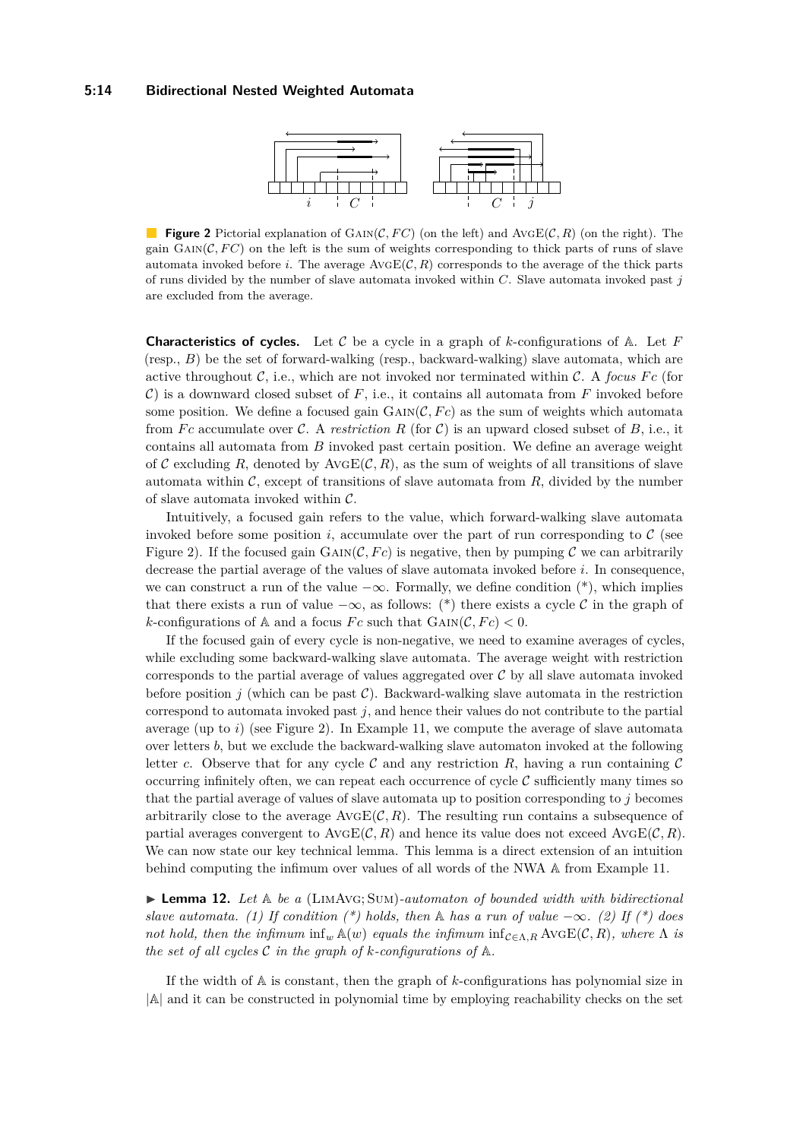#### <span id="page-13-0"></span>**5:14 Bidirectional Nested Weighted Automata**



**Figure 2** Pictorial explanation of GAIN( $\mathcal{C}, F\mathcal{C}$ ) (on the left) and AvgE( $\mathcal{C}, R$ ) (on the right). The gain  $\text{GAIN}(\mathcal{C}, FC)$  on the left is the sum of weights corresponding to thick parts of runs of slave automata invoked before *i*. The average  $A \vee \in \mathcal{C}(R)$  corresponds to the average of the thick parts of runs divided by the number of slave automata invoked within *C*. Slave automata invoked past *j* are excluded from the average.

**Characteristics of cycles.** Let C be a cycle in a graph of *k*-configurations of A. Let *F* (resp., *B*) be the set of forward-walking (resp., backward-walking) slave automata, which are active throughout  $C$ , i.e., which are not invoked nor terminated within  $C$ . A *focus*  $Fc$  (for  $\mathcal{C}$ ) is a downward closed subset of  $F$ , i.e., it contains all automata from  $F$  invoked before some position. We define a focused gain  $GAIN(\mathcal{C}, Fc)$  as the sum of weights which automata from *Fc* accumulate over C. A *restriction R* (for C) is an upward closed subset of B, i.e., it contains all automata from *B* invoked past certain position. We define an average weight of C excluding R, denoted by  $A \vee \bigoplus C$ , R), as the sum of weights of all transitions of slave automata within  $\mathcal{C}$ , except of transitions of slave automata from  $R$ , divided by the number of slave automata invoked within  $C$ .

Intuitively, a focused gain refers to the value, which forward-walking slave automata invoked before some position  $i$ , accumulate over the part of run corresponding to  $\mathcal C$  (see Figure [2\)](#page-13-0). If the focused gain  $\text{GAN}(\mathcal{C}, Fc)$  is negative, then by pumping C we can arbitrarily decrease the partial average of the values of slave automata invoked before *i*. In consequence, we can construct a run of the value  $-\infty$ . Formally, we define condition (\*), which implies that there exists a run of value  $-\infty$ , as follows: (\*) there exists a cycle C in the graph of *k*-configurations of A and a focus *Fc* such that  $GAIN(\mathcal{C}, Fc) < 0$ .

If the focused gain of every cycle is non-negative, we need to examine averages of cycles, while excluding some backward-walking slave automata. The average weight with restriction corresponds to the partial average of values aggregated over  $\mathcal C$  by all slave automata invoked before position *j* (which can be past  $\mathcal{C}$ ). Backward-walking slave automata in the restriction correspond to automata invoked past *j*, and hence their values do not contribute to the partial average (up to *i*) (see Figure [2\)](#page-13-0). In Example [11,](#page-12-0) we compute the average of slave automata over letters *b*, but we exclude the backward-walking slave automaton invoked at the following letter *c*. Observe that for any cycle  $\mathcal C$  and any restriction  $R$ , having a run containing  $\mathcal C$ occurring infinitely often, we can repeat each occurrence of cycle  $\mathcal C$  sufficiently many times so that the partial average of values of slave automata up to position corresponding to *j* becomes arbitrarily close to the average  $A\text{vGE}(\mathcal{C}, R)$ . The resulting run contains a subsequence of partial averages convergent to  $A\text{vGE}(\mathcal{C}, R)$  and hence its value does not exceed  $A\text{vGE}(\mathcal{C}, R)$ . We can now state our key technical lemma. This lemma is a direct extension of an intuition behind computing the infimum over values of all words of the NWA A from Example [11.](#page-12-0)

 $\triangleright$  **Lemma 12.** Let  $\mathbb{A}$  be a (LIMAVG; SUM)-automaton of bounded width with bidirectional *slave automata.* (1) If condition  $(*)$  holds, then  $\mathbb A$  *has a run of value*  $-\infty$ *.* (2) If  $(*)$  does *not hold, then the infimum*  $\inf_w \mathbb{A}(w)$  *equals the infimum*  $\inf_{\mathcal{C} \in \Lambda, R} \text{AVGE}(\mathcal{C}, R)$ *, where*  $\Lambda$  *is the set of all cycles* C *in the graph of k-configurations of* A*.*

If the width of A is constant, then the graph of *k*-configurations has polynomial size in |A| and it can be constructed in polynomial time by employing reachability checks on the set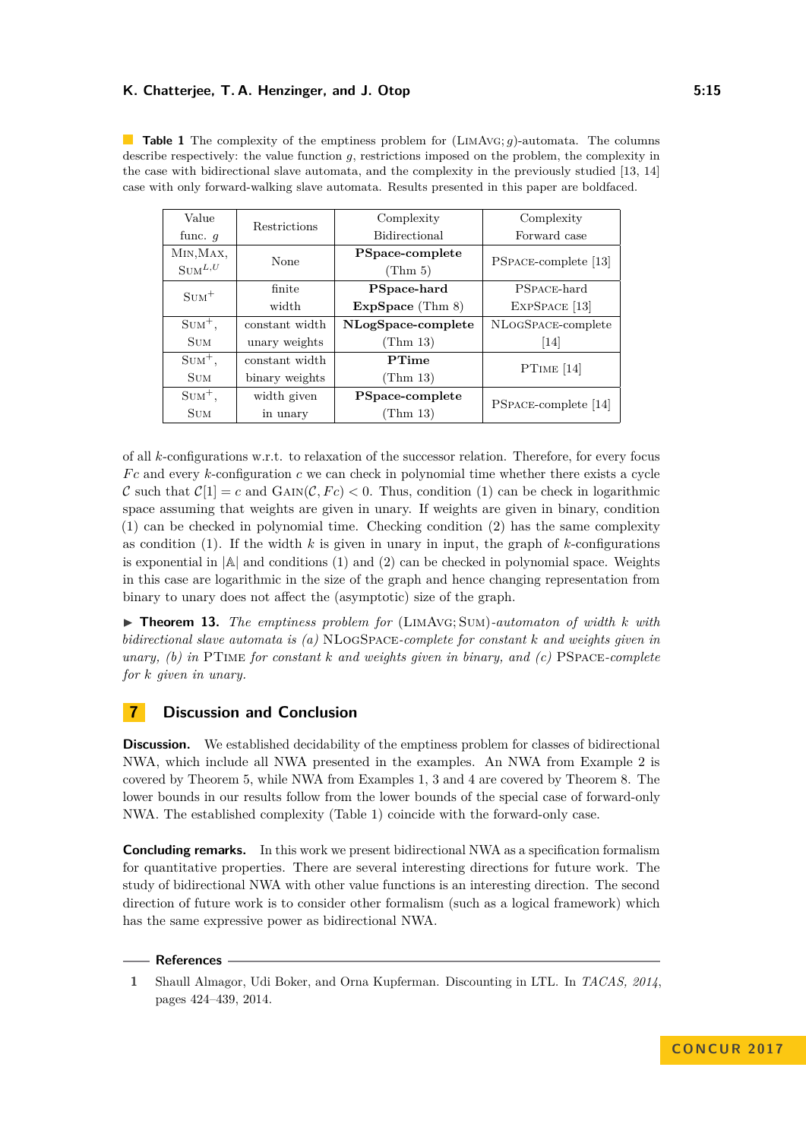<span id="page-14-0"></span>**Table 1** The complexity of the emptiness problem for (LimAvg; *g*)-automata. The columns describe respectively: the value function *g*, restrictions imposed on the problem, the complexity in the case with bidirectional slave automata, and the complexity in the previously studied [\[13,](#page-15-0) [14\]](#page-15-15) case with only forward-walking slave automata. Results presented in this paper are boldfaced.

| Value              | <b>Restrictions</b> | Complexity           | Complexity                  |
|--------------------|---------------------|----------------------|-----------------------------|
| func. $q$          |                     | <b>Bidirectional</b> | Forward case                |
| MIN, MAX,          | None                | PSpace-complete      | <b>PSPACE-complete</b> [13] |
| $\text{SUM}^{L,U}$ |                     | (Thm 5)              |                             |
| $\text{SUM}^+$     | finite              | PSpace-hard          | PSPACE-hard                 |
|                    | width               | ExpSpace (Thm 8)     | EXPSPACE <sup>[13]</sup>    |
| $Sum+$ ,           | constant width      | NLogSpace-complete   | NLOGSPACE-complete          |
| <b>SUM</b>         | unary weights       | (Thm 13)             | 14                          |
| $Sum+$ ,           | constant width      | PTime                | PTIME $[14]$                |
| <b>SUM</b>         | binary weights      | (Thm 13)             |                             |
| $Sum+$ ,           | width given         | PSpace-complete      | <b>PSPACE-complete</b> [14] |
| <b>SUM</b>         | in unary            | (Thm 13)             |                             |

of all *k*-configurations w.r.t. to relaxation of the successor relation. Therefore, for every focus *F c* and every *k*-configuration *c* we can check in polynomial time whether there exists a cycle C such that  $C[1] = c$  and  $GAIN(C, Fc) < 0$ . Thus, condition (1) can be check in logarithmic space assuming that weights are given in unary. If weights are given in binary, condition (1) can be checked in polynomial time. Checking condition (2) has the same complexity as condition  $(1)$ . If the width  $k$  is given in unary in input, the graph of  $k$ -configurations is exponential in  $|A|$  and conditions (1) and (2) can be checked in polynomial space. Weights in this case are logarithmic in the size of the graph and hence changing representation from binary to unary does not affect the (asymptotic) size of the graph.

<span id="page-14-2"></span> $\triangleright$  **Theorem 13.** *The emptiness problem for* (LIMAVG; SUM)*-automaton of width k with bidirectional slave automata is (a)* NLogSpace*-complete for constant k and weights given in unary, (b) in* PTime *for constant k and weights given in binary, and (c)* PSpace*-complete for k given in unary.*

## **7 Discussion and Conclusion**

**Discussion.** We established decidability of the emptiness problem for classes of bidirectional NWA, which include all NWA presented in the examples. An NWA from Example [2](#page-6-1) is covered by Theorem [5,](#page-8-0) while NWA from Examples [1,](#page-4-0) [3](#page-7-0) and [4](#page-7-1) are covered by Theorem [8.](#page-10-0) The lower bounds in our results follow from the lower bounds of the special case of forward-only NWA. The established complexity (Table [1\)](#page-14-0) coincide with the forward-only case.

**Concluding remarks.** In this work we present bidirectional NWA as a specification formalism for quantitative properties. There are several interesting directions for future work. The study of bidirectional NWA with other value functions is an interesting direction. The second direction of future work is to consider other formalism (such as a logical framework) which has the same expressive power as bidirectional NWA.

#### **References**

<span id="page-14-1"></span>**<sup>1</sup>** Shaull Almagor, Udi Boker, and Orna Kupferman. Discounting in LTL. In *TACAS, 2014*, pages 424–439, 2014.